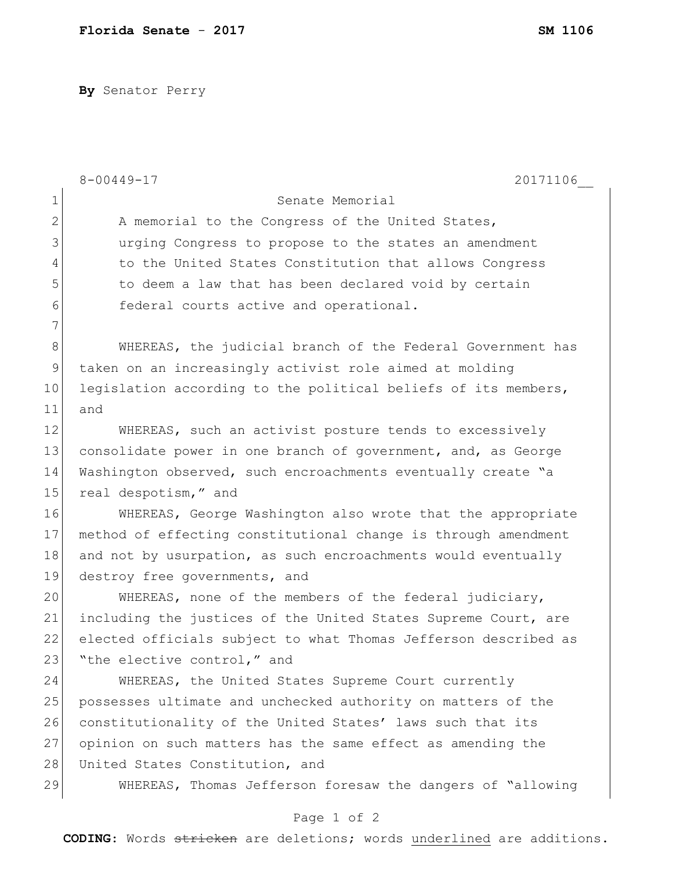**By** Senator Perry

|              | $8 - 00449 - 17$<br>20171106                                    |
|--------------|-----------------------------------------------------------------|
| $\mathbf 1$  | Senate Memorial                                                 |
| $\mathbf{2}$ | A memorial to the Congress of the United States,                |
| 3            | urging Congress to propose to the states an amendment           |
| 4            | to the United States Constitution that allows Congress          |
| 5            | to deem a law that has been declared void by certain            |
| 6            | federal courts active and operational.                          |
| 7            |                                                                 |
| 8            | WHEREAS, the judicial branch of the Federal Government has      |
| 9            | taken on an increasingly activist role aimed at molding         |
| 10           | legislation according to the political beliefs of its members,  |
| 11           | and                                                             |
| 12           | WHEREAS, such an activist posture tends to excessively          |
| 13           | consolidate power in one branch of government, and, as George   |
| 14           | Washington observed, such encroachments eventually create "a    |
| 15           | real despotism," and                                            |
| 16           | WHEREAS, George Washington also wrote that the appropriate      |
| 17           | method of effecting constitutional change is through amendment  |
| 18           | and not by usurpation, as such encroachments would eventually   |
| 19           | destroy free governments, and                                   |
| 20           | WHEREAS, none of the members of the federal judiciary,          |
| 21           | including the justices of the United States Supreme Court, are  |
| 22           | elected officials subject to what Thomas Jefferson described as |
| 23           | "the elective control," and                                     |
| 24           | WHEREAS, the United States Supreme Court currently              |
| 25           | possesses ultimate and unchecked authority on matters of the    |
| 26           | constitutionality of the United States' laws such that its      |
| 27           | opinion on such matters has the same effect as amending the     |
| 28           | United States Constitution, and                                 |
| 29           | WHEREAS, Thomas Jefferson foresaw the dangers of "allowing      |
|              | Page 1 of 2                                                     |

**CODING**: Words stricken are deletions; words underlined are additions.